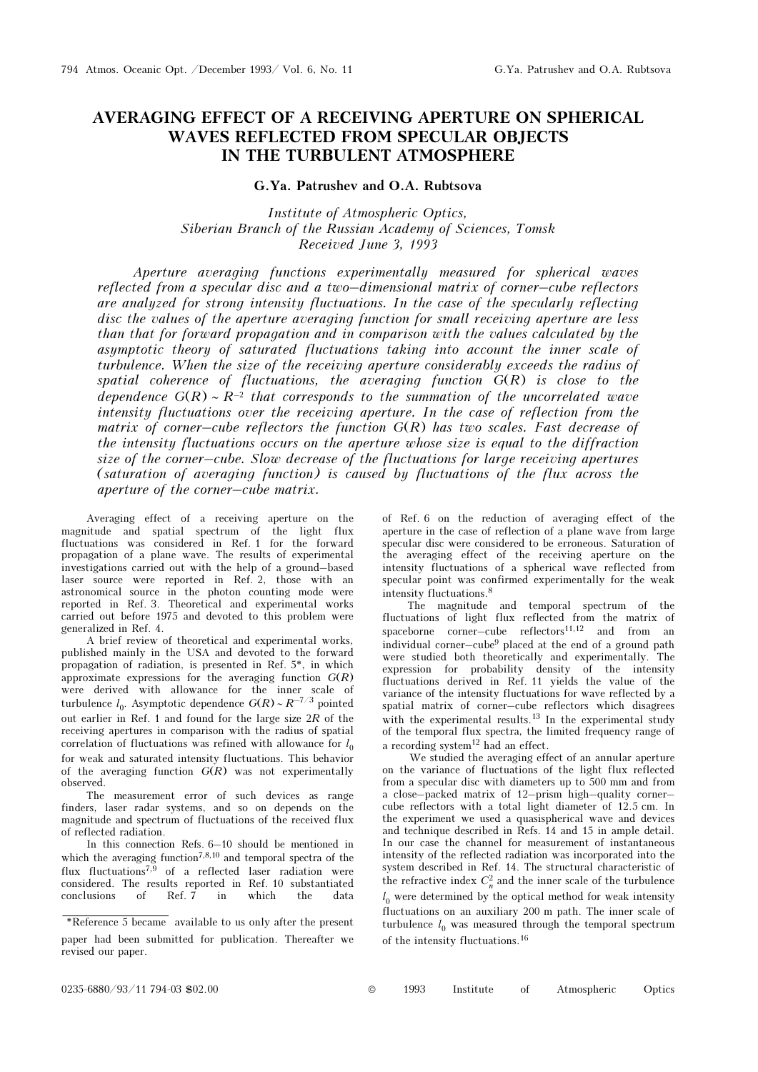## AVERAGING EFFECT OF A RECEIVING APERTURE ON SPHERICAL WAVES REFLECTED FROM SPECULAR OBJECTS IN THE TURBULENT ATMOSPHERE

## G.Ya. Patrushev and O.A. Rubtsova

Institute of Atmospheric Optics, Siberian Branch of the Russian Academy of Sciences, Tomsk Received June 3, 1993

Aperture averaging functions experimentally measured for spherical waves reflected from a specular disc and a two–dimensional matrix of corner–cube reflectors are analyzed for strong intensity fluctuations. In the case of the specularly reflecting disc the values of the aperture averaging function for small receiving aperture are less than that for forward propagation and in comparison with the values calculated by the asymptotic theory of saturated fluctuations taking into account the inner scale of turbulence. When the size of the receiving aperture considerably exceeds the radius of spatial coherence of fluctuations, the averaging function  $G(R)$  is close to the dependence  $G(R) \sim R^{-2}$  that corresponds to the summation of the uncorrelated wave intensity fluctuations over the receiving aperture. In the case of reflection from the matrix of corner–cube reflectors the function  $G(R)$  has two scales. Fast decrease of the intensity fluctuations occurs on the aperture whose size is equal to the diffraction size of the corner–cube. Slow decrease of the fluctuations for large receiving apertures (saturation of averaging function) is caused by fluctuations of the flux across the aperture of the corner–cube matrix.

Averaging effect of a receiving aperture on the magnitude and spatial spectrum of the light flux fluctuations was considered in Ref. 1 for the forward propagation of a plane wave. The results of experimental investigations carried out with the help of a ground–based laser source were reported in Ref. 2, those with an astronomical source in the photon counting mode were reported in Ref. 3. Theoretical and experimental works carried out before 1975 and devoted to this problem were generalized in Ref. 4.

A brief review of theoretical and experimental works, published mainly in the USA and devoted to the forward propagation of radiation, is presented in Ref. 5\*, in which approximate expressions for the averaging function  $G(R)$ were derived with allowance for the inner scale of turbulence  $l_0$ . Asymptotic dependence  $G(R) \sim R^{-7/3}$  pointed out earlier in Ref. 1 and found for the large size  $2R$  of the receiving apertures in comparison with the radius of spatial correlation of fluctuations was refined with allowance for  $l_0$ for weak and saturated intensity fluctuations. This behavior of the averaging function  $G(R)$  was not experimentally observed.

The measurement error of such devices as range finders, laser radar systems, and so on depends on the magnitude and spectrum of fluctuations of the received flux of reflected radiation.

In this connection Refs. 6–10 should be mentioned in which the averaging function<sup>7,8,10</sup> and temporal spectra of the flux fluctuations<sup>7,9</sup> of a reflected laser radiation were considered. The results reported in Ref. 10 substantiated conclusions of Ref. 7 in which the data

of Ref. 6 on the reduction of averaging effect of the aperture in the case of reflection of a plane wave from large specular disc were considered to be erroneous. Saturation of the averaging effect of the receiving aperture on the intensity fluctuations of a spherical wave reflected from specular point was confirmed experimentally for the weak intensity fluctuations.<sup>8</sup>

The magnitude and temporal spectrum of the fluctuations of light flux reflected from the matrix of spaceborne corner–cube reflectors<sup>11,12</sup> and from an individual corner–cube9 placed at the end of a ground path were studied both theoretically and experimentally. The expression for probability density of the intensity fluctuations derived in Ref. 11 yields the value of the variance of the intensity fluctuations for wave reflected by a spatial matrix of corner–cube reflectors which disagrees with the experimental results.<sup>13</sup> In the experimental study of the temporal flux spectra, the limited frequency range of a recording system $12$  had an effect.

We studied the averaging effect of an annular aperture on the variance of fluctuations of the light flux reflected from a specular disc with diameters up to 500 mm and from a close–packed matrix of 12–prism high–quality corner– cube reflectors with a total light diameter of 12.5 cm. In the experiment we used a quasispherical wave and devices and technique described in Refs. 14 and 15 in ample detail. In our case the channel for measurement of instantaneous intensity of the reflected radiation was incorporated into the system described in Ref. 14. The structural characteristic of the refractive index  $C_n^2$  and the inner scale of the turbulence  $l_0$  were determined by the optical method for weak intensity fluctuations on an auxiliary 200 m path. The inner scale of turbulence  $l_0$  was measured through the temporal spectrum of the intensity fluctuations.<sup>16</sup>

<sup>\*</sup>Reference 5 became available to us only after the present paper had been submitted for publication. Thereafter we revised our paper.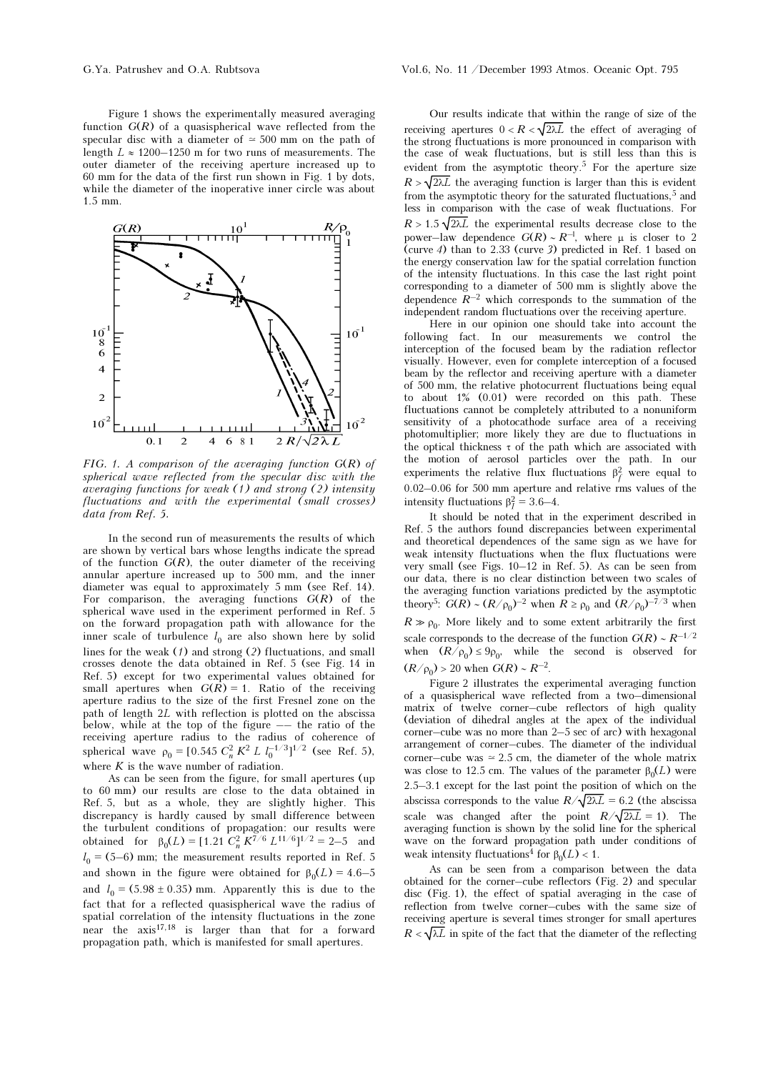Figure 1 shows the experimentally measured averaging function  $G(R)$  of a quasispherical wave reflected from the specular disc with a diameter of  $\approx$  500 mm on the path of length  $L \approx 1200-1250$  m for two runs of measurements. The outer diameter of the receiving aperture increased up to 60 mm for the data of the first run shown in Fig. 1 by dots, while the diameter of the inoperative inner circle was about 1.5 mm.



FIG. 1. A comparison of the averaging function  $G(R)$  of spherical wave reflected from the specular disc with the averaging functions for weak (1) and strong (2) intensity fluctuations and with the experimental (small crosses) data from Ref. 5.

In the second run of measurements the results of which are shown by vertical bars whose lengths indicate the spread of the function  $G(R)$ , the outer diameter of the receiving annular aperture increased up to 500 mm, and the inner diameter was equal to approximately 5 mm (see Ref. 14). For comparison, the averaging functions  $G(R)$  of the spherical wave used in the experiment performed in Ref. 5 on the forward propagation path with allowance for the inner scale of turbulence  $l_0$  are also shown here by solid lines for the weak  $(1)$  and strong  $(2)$  fluctuations, and small crosses denote the data obtained in Ref. 5 (see Fig. 14 in Ref. 5) except for two experimental values obtained for small apertures when  $G(R) = 1$ . Ratio of the receiving aperture radius to the size of the first Fresnel zone on the path of length 2L with reflection is plotted on the abscissa below, while at the top of the figure –– the ratio of the receiving aperture radius to the radius of coherence of spherical wave  $\rho_0 = [0.545 \ C_n^2 \ K^2 \ L \ l_0^{-1/3}]^{1/2}$  (see Ref. 5), where  $K$  is the wave number of radiation.

As can be seen from the figure, for small apertures (up to 60 mm) our results are close to the data obtained in Ref. 5, but as a whole, they are slightly higher. This discrepancy is hardly caused by small difference between the turbulent conditions of propagation: our results were obtained for  $\beta_0(L) = [1.21 \, C_n^2 \, K^{7/6} \, L^{11/6}]^{1/2} = 2-5$  and  $l_0 = (5-6)$  mm; the measurement results reported in Ref. 5 and shown in the figure were obtained for  $\beta_0(L) = 4.6-5$ and  $l_0 = (5.98 \pm 0.35)$  mm. Apparently this is due to the fact that for a reflected quasispherical wave the radius of spatial correlation of the intensity fluctuations in the zone near the  $axis^{17,18}$  is larger than that for a forward propagation path, which is manifested for small apertures.

Our results indicate that within the range of size of the receiving apertures  $0 < R < \sqrt{2\lambda L}$  the effect of averaging of the strong fluctuations is more pronounced in comparison with the case of weak fluctuations, but is still less than this is evident from the asymptotic theory.5 For the aperture size  $R > \sqrt{2\lambda L}$  the averaging function is larger than this is evident from the asymptotic theory for the saturated fluctuations,  $5$  and less in comparison with the case of weak fluctuations. For  $R > 1.5 \sqrt{2\lambda L}$  the experimental results decrease close to the power–law dependence  $G(R) \sim R^{-1}$ , where  $\mu$  is closer to 2 (curve 4) than to 2.33 (curve 3) predicted in Ref. 1 based on the energy conservation law for the spatial correlation function of the intensity fluctuations. In this case the last right point corresponding to a diameter of 500 mm is slightly above the dependence  $R^{-2}$  which corresponds to the summation of the independent random fluctuations over the receiving aperture.

Here in our opinion one should take into account the following fact. In our measurements we control the interception of the focused beam by the radiation reflector visually. However, even for complete interception of a focused beam by the reflector and receiving aperture with a diameter of 500 mm, the relative photocurrent fluctuations being equal to about 1% (0.01) were recorded on this path. These fluctuations cannot be completely attributed to a nonuniform sensitivity of a photocathode surface area of a receiving photomultiplier; more likely they are due to fluctuations in the optical thickness  $\tau$  of the path which are associated with the motion of aerosol particles over the path. In our experiments the relative flux fluctuations  $\beta_f^2$  were equal to 0.02–0.06 for 500 mm aperture and relative rms values of the intensity fluctuations  $\beta_I^2 = 3.6-4$ .

It should be noted that in the experiment described in Ref. 5 the authors found discrepancies between experimental and theoretical dependences of the same sign as we have for weak intensity fluctuations when the flux fluctuations were very small (see Figs. 10–12 in Ref. 5). As can be seen from our data, there is no clear distinction between two scales of the averaging function variations predicted by the asymptotic theory<sup>5</sup>:  $G(R) \sim (R/\rho_0)^{-2}$  when  $R \ge \rho_0$  and  $(R/\rho_0)^{-7/3}$  when  $R \gg \rho_0$ . More likely and to some extent arbitrarily the first scale corresponds to the decrease of the function  $G(R) \sim R^{-1/2}$ when  $(R/\rho_0) \le 9\rho_0$ , while the second is observed for  $(R/\rho_0) > 20$  when  $G(R) \sim R^{-2}$ .

Figure 2 illustrates the experimental averaging function of a quasispherical wave reflected from a two–dimensional matrix of twelve corner–cube reflectors of high quality (deviation of dihedral angles at the apex of the individual corner–cube was no more than 2–5 sec of arc) with hexagonal arrangement of corner–cubes. The diameter of the individual corner–cube was  $\simeq 2.5$  cm, the diameter of the whole matrix was close to 12.5 cm. The values of the parameter  $\beta_0(L)$  were 2.5–3.1 except for the last point the position of which on the abscissa corresponds to the value  $R/\sqrt{2\lambda L} = 6.2$  (the abscissa scale was changed after the point  $R/\sqrt{2\lambda L} = 1$ ). The averaging function is shown by the solid line for the spherical wave on the forward propagation path under conditions of weak intensity fluctuations<sup>4</sup> for  $\beta_0(L) < 1$ .

As can be seen from a comparison between the data obtained for the corner–cube reflectors (Fig. 2) and specular disc (Fig. 1), the effect of spatial averaging in the case of reflection from twelve corner–cubes with the same size of receiving aperture is several times stronger for small apertures  $R < \sqrt{\lambda L}$  in spite of the fact that the diameter of the reflecting